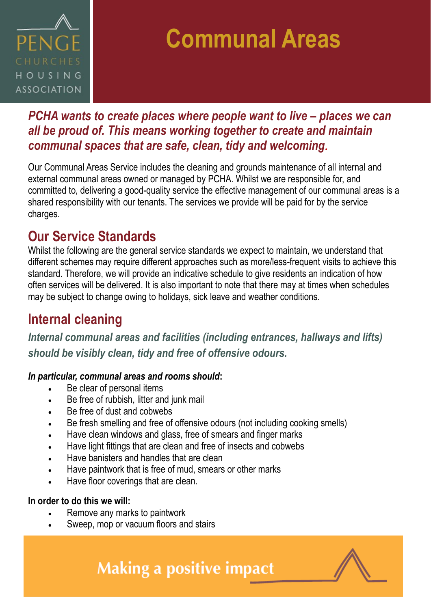

## **Communal Areas**

### *PCHA wants to create places where people want to live – places we can all be proud of. This means working together to create and maintain communal spaces that are safe, clean, tidy and welcoming.*

Our Communal Areas Service includes the cleaning and grounds maintenance of all internal and external communal areas owned or managed by PCHA. Whilst we are responsible for, and committed to, delivering a good-quality service the effective management of our communal areas is a shared responsibility with our tenants. The services we provide will be paid for by the service charges.

### **Our Service Standards**

Whilst the following are the general service standards we expect to maintain, we understand that different schemes may require different approaches such as more/less-frequent visits to achieve this standard. Therefore, we will provide an indicative schedule to give residents an indication of how often services will be delivered. It is also important to note that there may at times when schedules may be subject to change owing to holidays, sick leave and weather conditions.

## **Internal cleaning**

*Internal communal areas and facilities (including entrances, hallways and lifts) should be visibly clean, tidy and free of offensive odours.*

#### *In particular, communal areas and rooms should***:**

- Be clear of personal items
- Be free of rubbish, litter and junk mail
- Be free of dust and cobwebs
- Be fresh smelling and free of offensive odours (not including cooking smells)
- Have clean windows and glass, free of smears and finger marks
- Have light fittings that are clean and free of insects and cobwebs
- Have banisters and handles that are clean
- Have paintwork that is free of mud, smears or other marks
- Have floor coverings that are clean.

#### **In order to do this we will:**

- Remove any marks to paintwork
- Sweep, mop or vacuum floors and stairs

**Making a positive impact**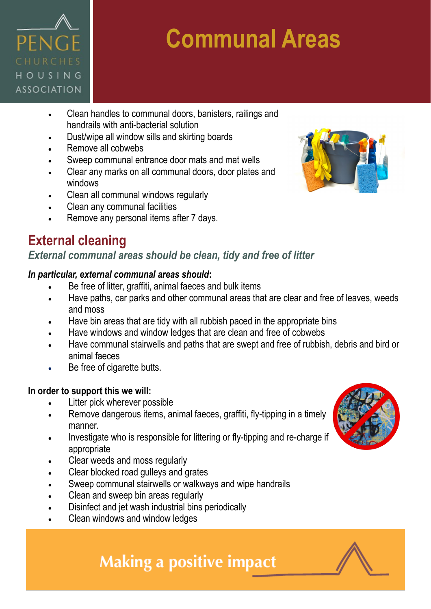

# **Communal Areas**

- Clean handles to communal doors, banisters, railings and handrails with anti-bacterial solution
- Dust/wipe all window sills and skirting boards
- Remove all cobwebs
- Sweep communal entrance door mats and mat wells
- Clear any marks on all communal doors, door plates and windows
- Clean all communal windows regularly
- Clean any communal facilities
- Remove any personal items after 7 days.

## **External cleaning**

#### *External communal areas should be clean, tidy and free of litter*

#### *In particular, external communal areas should***:**

- Be free of litter, graffiti, animal faeces and bulk items
- Have paths, car parks and other communal areas that are clear and free of leaves, weeds and moss
- Have bin areas that are tidy with all rubbish paced in the appropriate bins
- Have windows and window ledges that are clean and free of cobwebs
- Have communal stairwells and paths that are swept and free of rubbish, debris and bird or animal faeces
- Be free of cigarette butts.

#### **In order to support this we will:**

- Litter pick wherever possible
- Remove dangerous items, animal faeces, graffiti, fly-tipping in a timely manner.
- Investigate who is responsible for littering or fly-tipping and re-charge if appropriate
- Clear weeds and moss regularly
- Clear blocked road gulleys and grates
- Sweep communal stairwells or walkways and wipe handrails
- Clean and sweep bin areas regularly
- Disinfect and jet wash industrial bins periodically
- Clean windows and window ledges





## **Making a positive impact**